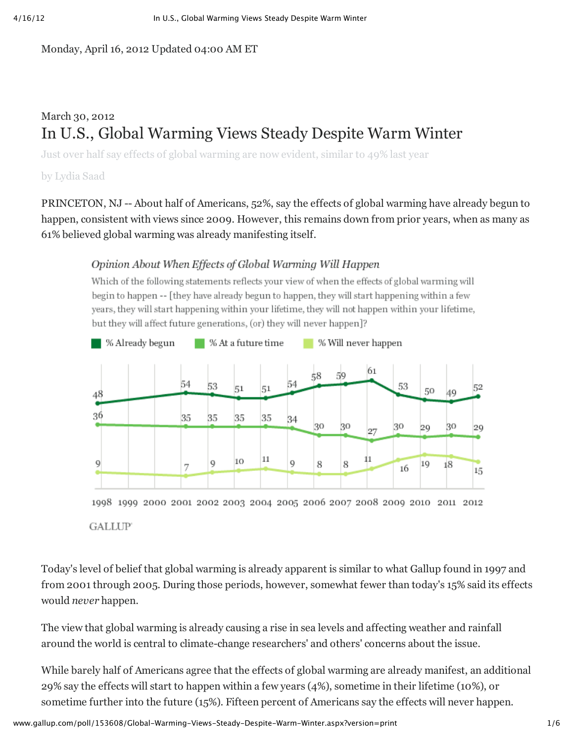Monday, April 16, 2012 Updated 04:00 AM ET

# March 30, 2012 In U.S., Global Warming Views Steady Despite Warm Winter

Just over half say effects of global warming are now evident, similar to 49% last year

by Lydia Saad

PRINCETON, NJ -- About half of Americans, 52%, say the effects of global warming have already begun to happen, consistent with views since 2009. However, this remains down from prior years, when as many as 61% believed global warming was already manifesting itself.

# Opinion About When Effects of Global Warming Will Happen

Which of the following statements reflects your view of when the effects of global warming will begin to happen -- [they have already begun to happen, they will start happening within a few years, they will start happening within your lifetime, they will not happen within your lifetime, but they will affect future generations, (or) they will never happen]?



**GALLUP** 

Today's level of belief that global warming is already apparent is similar to what Gallup found in 1997 and from 2001 through 2005. During those periods, however, somewhat fewer than today's 15% said its effects would *never* happen.

The view that global warming is already causing a rise in sea levels and affecting weather and rainfall around the world is central to climate-change researchers' and others' concerns about the issue.

While barely half of Americans agree that the effects of global warming are already manifest, an additional 29% say the effects will start to happen within a few years (4%), sometime in their lifetime (10%), or sometime further into the future (15%). Fifteen percent of Americans say the effects will never happen.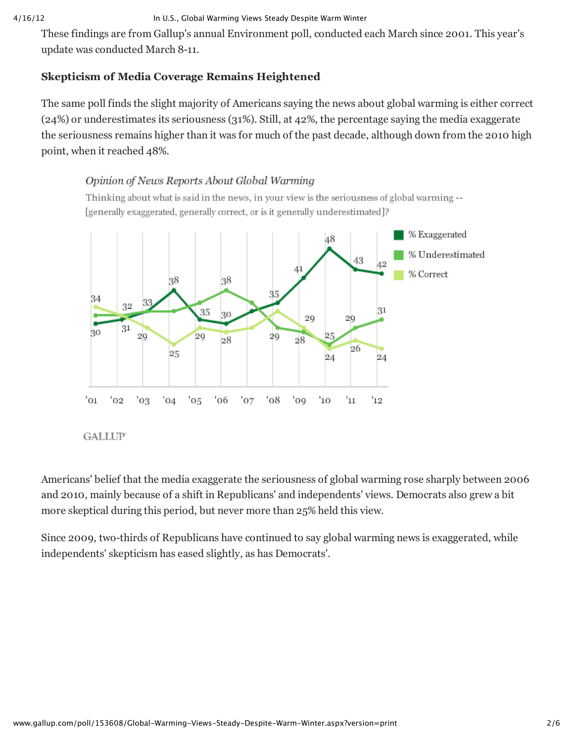#### 4/16/12 In U.S., Global Warming Views Steady Despite Warm Winter

These findings are from Gallup's annual Environment poll, conducted each March since 2001. This year's update was conducted March 8-11.

# **Skepticism of Media Coverage Remains Heightened**

The same poll finds the slight majority of Americans saying the news about global warming is either correct (24%) or underestimates its seriousness (31%). Still, at 42%, the percentage saying the media exaggerate the seriousness remains higher than it was for much of the past decade, although down from the 2010 high point, when it reached 48%.

# Opinion of News Reports About Global Warming

Thinking about what is said in the news, in your view is the seriousness of global warming --[generally exaggerated, generally correct, or is it generally underestimated]?





Americans' belief that the media exaggerate the seriousness of global warming rose sharply between 2006 and 2010, mainly because of a shift in Republicans' and independents' views. Democrats also grew a bit more skeptical during this period, but never more than 25% held this view.

Since 2009, two-thirds of Republicans have continued to say global warming news is exaggerated, while independents' skepticism has eased slightly, as has Democrats'.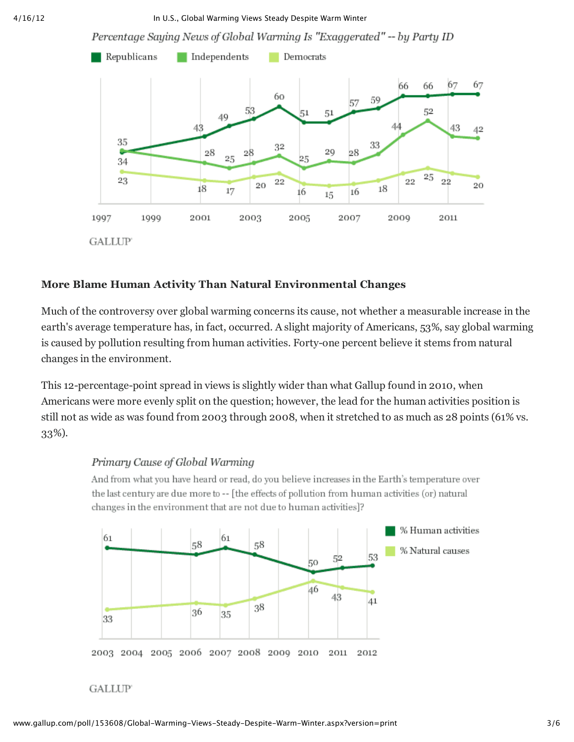4/16/12 In U.S., Global Warming Views Steady Despite Warm Winter

Percentage Saying News of Global Warming Is "Exaggerated" -- by Party ID



### **More Blame Human Activity Than Natural Environmental Changes**

Much of the controversy over global warming concerns its cause, not whether a measurable increase in the earth's average temperature has, in fact, occurred. A slight majority of Americans, 53%, say global warming is caused by pollution resulting from human activities. Forty-one percent believe it stems from natural changes in the environment.

This 12-percentage-point spread in views is slightly wider than what Gallup found in 2010, when Americans were more evenly split on the question; however, the lead for the human activities position is still not as wide as was found from 2003 through 2008, when it stretched to as much as 28 points (61% vs. 33%).

#### Primary Cause of Global Warming

And from what you have heard or read, do you believe increases in the Earth's temperature over the last century are due more to -- [the effects of pollution from human activities (or) natural changes in the environment that are not due to human activities]?



#### **GALLUP**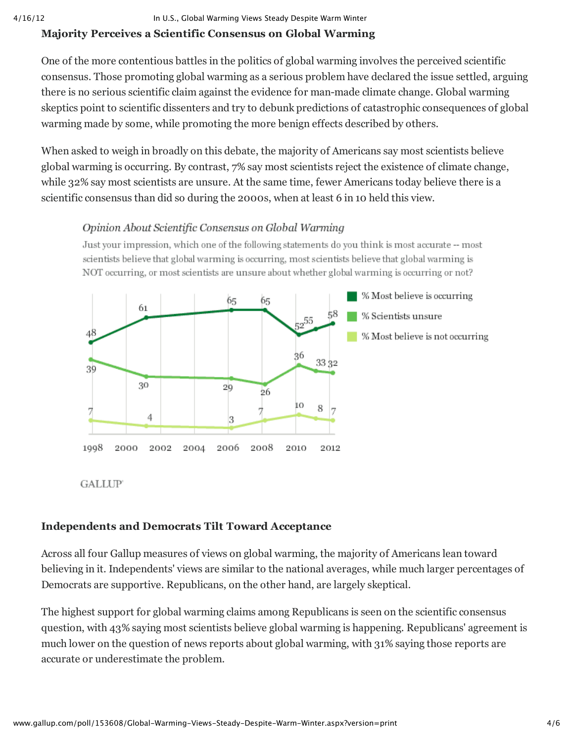#### 4/16/12 In U.S., Global Warming Views Steady Despite Warm Winter

# **Majority Perceives a Scientific Consensus on Global Warming**

One of the more contentious battles in the politics of global warming involves the perceived scientific consensus. Those promoting global warming as a serious problem have declared the issue settled, arguing there is no serious scientific claim against the evidence for man-made climate change. Global warming skeptics point to scientific dissenters and try to debunk predictions of catastrophic consequences of global warming made by some, while promoting the more benign effects described by others.

When asked to weigh in broadly on this debate, the majority of Americans say most scientists believe global warming is occurring. By contrast, 7% say most scientists reject the existence of climate change, while 32% say most scientists are unsure. At the same time, fewer Americans today believe there is a scientific consensus than did so during the 2000s, when at least 6 in 10 held this view.

# Opinion About Scientific Consensus on Global Warming

Just your impression, which one of the following statements do you think is most accurate -- most scientists believe that global warming is occurring, most scientists believe that global warming is NOT occurring, or most scientists are unsure about whether global warming is occurring or not?



**GALLUP** 

# **Independents and Democrats Tilt Toward Acceptance**

Across all four Gallup measures of views on global warming, the majority of Americans lean toward believing in it. Independents' views are similar to the national averages, while much larger percentages of Democrats are supportive. Republicans, on the other hand, are largely skeptical.

The highest support for global warming claims among Republicans is seen on the scientific consensus question, with 43% saying most scientists believe global warming is happening. Republicans' agreement is much lower on the question of news reports about global warming, with 31% saying those reports are accurate or underestimate the problem.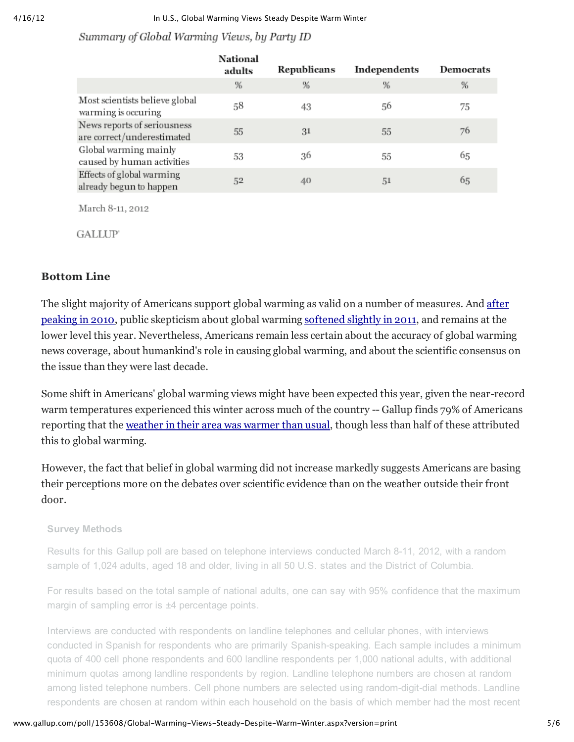#### Summary of Global Warming Views, by Party ID

|                                                           | National<br>adults | Republicans | Independents | <b>Democrats</b> |
|-----------------------------------------------------------|--------------------|-------------|--------------|------------------|
|                                                           | %                  | %           | %            | %                |
| Most scientists believe global<br>warming is occuring     | 58                 | 43          | 56           | 75               |
| News reports of seriousness<br>are correct/underestimated | 55                 | 31          | 55           | 76               |
| Global warming mainly<br>caused by human activities       | 53                 | 36          | 55           | 65               |
| Effects of global warming<br>already begun to happen      | 52                 | 40          | 51           | 65               |

March 8-11, 2012

**GALLUP** 

### **Bottom Line**

The slight majority of Americans support global warming as valid on a number of measures. And after peaking in 2010, public skepticism about global warming softened slightly in 2011, and remains at the lower level this year. Nevertheless, Americans remain less certain about the accuracy of global warming news coverage, about humankind's role in causing global warming, and about the scientific consensus on the issue than they were last decade.

Some shift in Americans' global warming views might have been expected this year, given the near-record warm temperatures experienced this winter across much of the country -- Gallup finds 79% of Americans reporting that the weather in their area was warmer than usual, though less than half of these attributed this to global warming.

However, the fact that belief in global warming did not increase markedly suggests Americans are basing their perceptions more on the debates over scientific evidence than on the weather outside their front door.

#### **Survey Methods**

Results for this Gallup poll are based on telephone interviews conducted March 8-11, 2012, with a random sample of 1,024 adults, aged 18 and older, living in all 50 U.S. states and the District of Columbia.

For results based on the total sample of national adults, one can say with 95% confidence that the maximum margin of sampling error is ±4 percentage points.

Interviews are conducted with respondents on landline telephones and cellular phones, with interviews conducted in Spanish for respondents who are primarily Spanish-speaking. Each sample includes a minimum quota of 400 cell phone respondents and 600 landline respondents per 1,000 national adults, with additional minimum quotas among landline respondents by region. Landline telephone numbers are chosen at random among listed telephone numbers. Cell phone numbers are selected using random-digit-dial methods. Landline respondents are chosen at random within each household on the basis of which member had the most recent